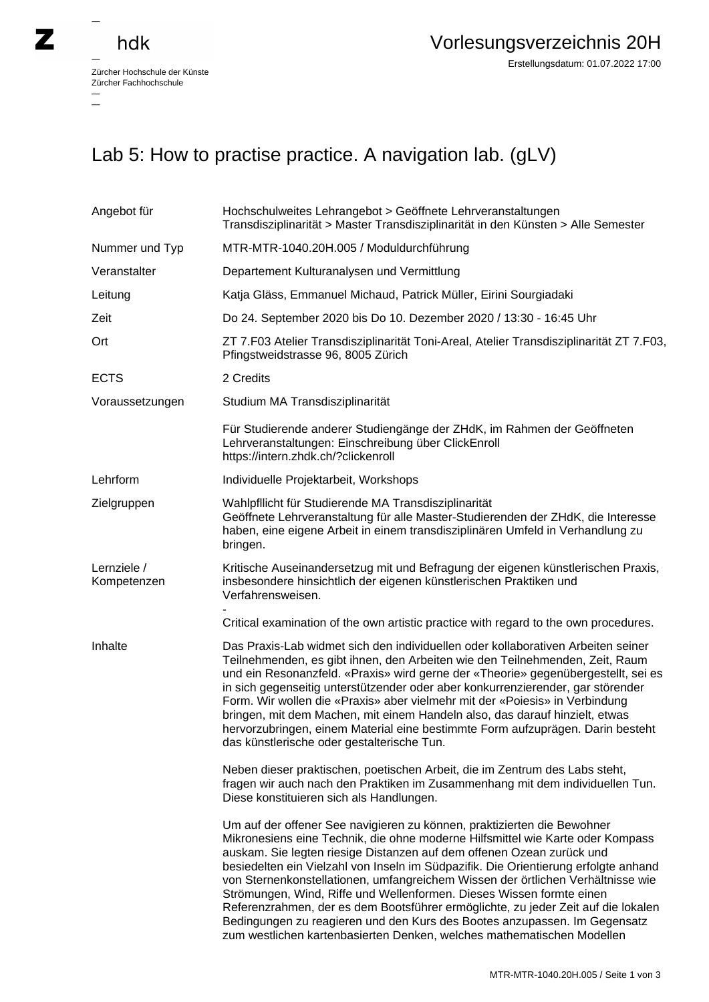## hdk

—

Zürcher Hochschule der Künste Zürcher Fachhochschule —

## Lab 5: How to practise practice. A navigation lab. (gLV)

| Angebot für                | Hochschulweites Lehrangebot > Geöffnete Lehrveranstaltungen<br>Transdisziplinarität > Master Transdisziplinarität in den Künsten > Alle Semester                                                                                                                                                                                                                                                                                                                                                                                                                                                                                                                                                                                 |
|----------------------------|----------------------------------------------------------------------------------------------------------------------------------------------------------------------------------------------------------------------------------------------------------------------------------------------------------------------------------------------------------------------------------------------------------------------------------------------------------------------------------------------------------------------------------------------------------------------------------------------------------------------------------------------------------------------------------------------------------------------------------|
| Nummer und Typ             | MTR-MTR-1040.20H.005 / Moduldurchführung                                                                                                                                                                                                                                                                                                                                                                                                                                                                                                                                                                                                                                                                                         |
| Veranstalter               | Departement Kulturanalysen und Vermittlung                                                                                                                                                                                                                                                                                                                                                                                                                                                                                                                                                                                                                                                                                       |
| Leitung                    | Katja Gläss, Emmanuel Michaud, Patrick Müller, Eirini Sourgiadaki                                                                                                                                                                                                                                                                                                                                                                                                                                                                                                                                                                                                                                                                |
| Zeit                       | Do 24. September 2020 bis Do 10. Dezember 2020 / 13:30 - 16:45 Uhr                                                                                                                                                                                                                                                                                                                                                                                                                                                                                                                                                                                                                                                               |
| Ort                        | ZT 7.F03 Atelier Transdisziplinarität Toni-Areal, Atelier Transdisziplinarität ZT 7.F03,<br>Pfingstweidstrasse 96, 8005 Zürich                                                                                                                                                                                                                                                                                                                                                                                                                                                                                                                                                                                                   |
| <b>ECTS</b>                | 2 Credits                                                                                                                                                                                                                                                                                                                                                                                                                                                                                                                                                                                                                                                                                                                        |
| Voraussetzungen            | Studium MA Transdisziplinarität                                                                                                                                                                                                                                                                                                                                                                                                                                                                                                                                                                                                                                                                                                  |
|                            | Für Studierende anderer Studiengänge der ZHdK, im Rahmen der Geöffneten<br>Lehrveranstaltungen: Einschreibung über ClickEnroll<br>https://intern.zhdk.ch/?clickenroll                                                                                                                                                                                                                                                                                                                                                                                                                                                                                                                                                            |
| Lehrform                   | Individuelle Projektarbeit, Workshops                                                                                                                                                                                                                                                                                                                                                                                                                                                                                                                                                                                                                                                                                            |
| Zielgruppen                | Wahlpfllicht für Studierende MA Transdisziplinarität<br>Geöffnete Lehrveranstaltung für alle Master-Studierenden der ZHdK, die Interesse<br>haben, eine eigene Arbeit in einem transdisziplinären Umfeld in Verhandlung zu<br>bringen.                                                                                                                                                                                                                                                                                                                                                                                                                                                                                           |
| Lernziele /<br>Kompetenzen | Kritische Auseinandersetzug mit und Befragung der eigenen künstlerischen Praxis,<br>insbesondere hinsichtlich der eigenen künstlerischen Praktiken und<br>Verfahrensweisen.                                                                                                                                                                                                                                                                                                                                                                                                                                                                                                                                                      |
|                            | Critical examination of the own artistic practice with regard to the own procedures.                                                                                                                                                                                                                                                                                                                                                                                                                                                                                                                                                                                                                                             |
| Inhalte                    | Das Praxis-Lab widmet sich den individuellen oder kollaborativen Arbeiten seiner<br>Teilnehmenden, es gibt ihnen, den Arbeiten wie den Teilnehmenden, Zeit, Raum<br>und ein Resonanzfeld. «Praxis» wird gerne der «Theorie» gegenübergestellt, sei es<br>in sich gegenseitig unterstützender oder aber konkurrenzierender, gar störender<br>Form. Wir wollen die «Praxis» aber vielmehr mit der «Poiesis» in Verbindung<br>bringen, mit dem Machen, mit einem Handeln also, das darauf hinzielt, etwas<br>hervorzubringen, einem Material eine bestimmte Form aufzuprägen. Darin besteht<br>das künstlerische oder gestalterische Tun.                                                                                           |
|                            | Neben dieser praktischen, poetischen Arbeit, die im Zentrum des Labs steht,<br>fragen wir auch nach den Praktiken im Zusammenhang mit dem individuellen Tun.<br>Diese konstituieren sich als Handlungen.                                                                                                                                                                                                                                                                                                                                                                                                                                                                                                                         |
|                            | Um auf der offener See navigieren zu können, praktizierten die Bewohner<br>Mikronesiens eine Technik, die ohne moderne Hilfsmittel wie Karte oder Kompass<br>auskam. Sie legten riesige Distanzen auf dem offenen Ozean zurück und<br>besiedelten ein Vielzahl von Inseln im Südpazifik. Die Orientierung erfolgte anhand<br>von Sternenkonstellationen, umfangreichem Wissen der örtlichen Verhältnisse wie<br>Strömungen, Wind, Riffe und Wellenformen. Dieses Wissen formte einen<br>Referenzrahmen, der es dem Bootsführer ermöglichte, zu jeder Zeit auf die lokalen<br>Bedingungen zu reagieren und den Kurs des Bootes anzupassen. Im Gegensatz<br>zum westlichen kartenbasierten Denken, welches mathematischen Modellen |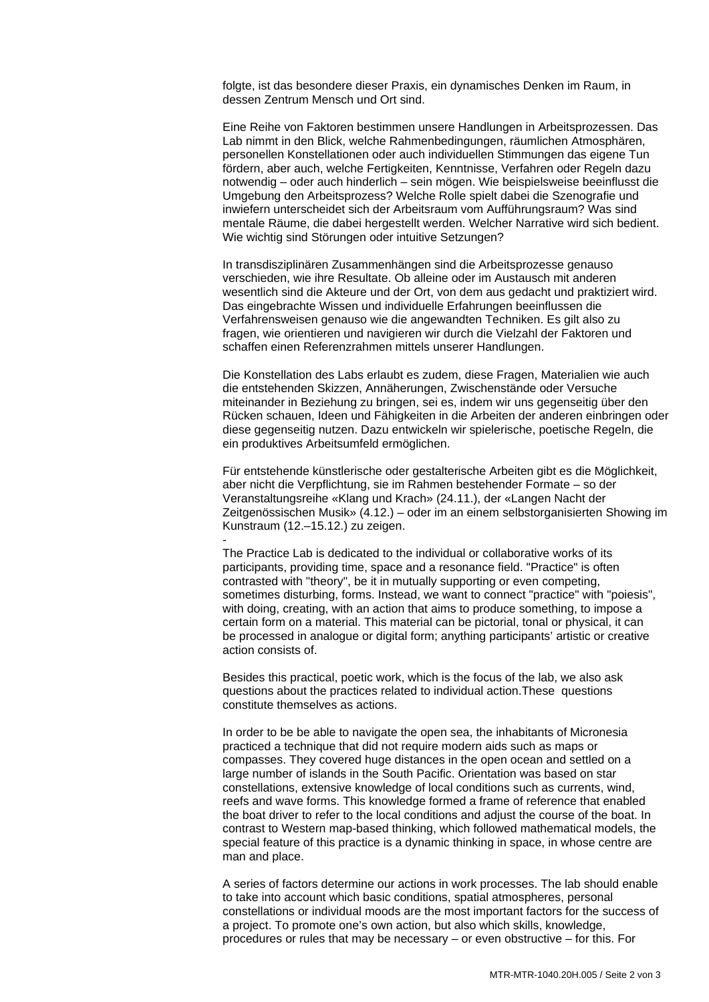folgte, ist das besondere dieser Praxis, ein dynamisches Denken im Raum, in dessen Zentrum Mensch und Ort sind.

Eine Reihe von Faktoren bestimmen unsere Handlungen in Arbeitsprozessen. Das Lab nimmt in den Blick, welche Rahmenbedingungen, räumlichen Atmosphären, personellen Konstellationen oder auch individuellen Stimmungen das eigene Tun fördern, aber auch, welche Fertigkeiten, Kenntnisse, Verfahren oder Regeln dazu notwendig – oder auch hinderlich – sein mögen. Wie beispielsweise beeinflusst die Umgebung den Arbeitsprozess? Welche Rolle spielt dabei die Szenografie und inwiefern unterscheidet sich der Arbeitsraum vom Aufführungsraum? Was sind mentale Räume, die dabei hergestellt werden. Welcher Narrative wird sich bedient. Wie wichtig sind Störungen oder intuitive Setzungen?

In transdisziplinären Zusammenhängen sind die Arbeitsprozesse genauso verschieden, wie ihre Resultate. Ob alleine oder im Austausch mit anderen wesentlich sind die Akteure und der Ort, von dem aus gedacht und praktiziert wird. Das eingebrachte Wissen und individuelle Erfahrungen beeinflussen die Verfahrensweisen genauso wie die angewandten Techniken. Es gilt also zu fragen, wie orientieren und navigieren wir durch die Vielzahl der Faktoren und schaffen einen Referenzrahmen mittels unserer Handlungen.

Die Konstellation des Labs erlaubt es zudem, diese Fragen, Materialien wie auch die entstehenden Skizzen, Annäherungen, Zwischenstände oder Versuche miteinander in Beziehung zu bringen, sei es, indem wir uns gegenseitig über den Rücken schauen, Ideen und Fähigkeiten in die Arbeiten der anderen einbringen oder diese gegenseitig nutzen. Dazu entwickeln wir spielerische, poetische Regeln, die ein produktives Arbeitsumfeld ermöglichen.

Für entstehende künstlerische oder gestalterische Arbeiten gibt es die Möglichkeit, aber nicht die Verpflichtung, sie im Rahmen bestehender Formate – so der Veranstaltungsreihe «Klang und Krach» (24.11.), der «Langen Nacht der Zeitgenössischen Musik» (4.12.) – oder im an einem selbstorganisierten Showing im Kunstraum (12.–15.12.) zu zeigen.

The Practice Lab is dedicated to the individual or collaborative works of its participants, providing time, space and a resonance field. "Practice" is often contrasted with "theory", be it in mutually supporting or even competing, sometimes disturbing, forms. Instead, we want to connect "practice" with "poiesis", with doing, creating, with an action that aims to produce something, to impose a certain form on a material. This material can be pictorial, tonal or physical, it can be processed in analogue or digital form; anything participants' artistic or creative action consists of.

-

Besides this practical, poetic work, which is the focus of the lab, we also ask questions about the practices related to individual action.These questions constitute themselves as actions.

In order to be be able to navigate the open sea, the inhabitants of Micronesia practiced a technique that did not require modern aids such as maps or compasses. They covered huge distances in the open ocean and settled on a large number of islands in the South Pacific. Orientation was based on star constellations, extensive knowledge of local conditions such as currents, wind, reefs and wave forms. This knowledge formed a frame of reference that enabled the boat driver to refer to the local conditions and adjust the course of the boat. In contrast to Western map-based thinking, which followed mathematical models, the special feature of this practice is a dynamic thinking in space, in whose centre are man and place.

A series of factors determine our actions in work processes. The lab should enable to take into account which basic conditions, spatial atmospheres, personal constellations or individual moods are the most important factors for the success of a project. To promote one's own action, but also which skills, knowledge, procedures or rules that may be necessary – or even obstructive – for this. For